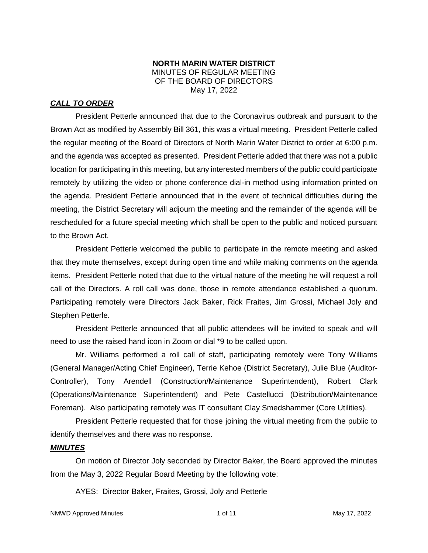### **NORTH MARIN WATER DISTRICT** MINUTES OF REGULAR MEETING OF THE BOARD OF DIRECTORS May 17, 2022

## *CALL TO ORDER*

President Petterle announced that due to the Coronavirus outbreak and pursuant to the Brown Act as modified by Assembly Bill 361, this was a virtual meeting. President Petterle called the regular meeting of the Board of Directors of North Marin Water District to order at 6:00 p.m. and the agenda was accepted as presented. President Petterle added that there was not a public location for participating in this meeting, but any interested members of the public could participate remotely by utilizing the video or phone conference dial-in method using information printed on the agenda. President Petterle announced that in the event of technical difficulties during the meeting, the District Secretary will adjourn the meeting and the remainder of the agenda will be rescheduled for a future special meeting which shall be open to the public and noticed pursuant to the Brown Act.

President Petterle welcomed the public to participate in the remote meeting and asked that they mute themselves, except during open time and while making comments on the agenda items. President Petterle noted that due to the virtual nature of the meeting he will request a roll call of the Directors. A roll call was done, those in remote attendance established a quorum. Participating remotely were Directors Jack Baker, Rick Fraites, Jim Grossi, Michael Joly and Stephen Petterle.

President Petterle announced that all public attendees will be invited to speak and will need to use the raised hand icon in Zoom or dial \*9 to be called upon.

Mr. Williams performed a roll call of staff, participating remotely were Tony Williams (General Manager/Acting Chief Engineer), Terrie Kehoe (District Secretary), Julie Blue (Auditor-Controller), Tony Arendell (Construction/Maintenance Superintendent), Robert Clark (Operations/Maintenance Superintendent) and Pete Castellucci (Distribution/Maintenance Foreman). Also participating remotely was IT consultant Clay Smedshammer (Core Utilities).

President Petterle requested that for those joining the virtual meeting from the public to identify themselves and there was no response.

### *MINUTES*

On motion of Director Joly seconded by Director Baker, the Board approved the minutes from the May 3, 2022 Regular Board Meeting by the following vote:

AYES: Director Baker, Fraites, Grossi, Joly and Petterle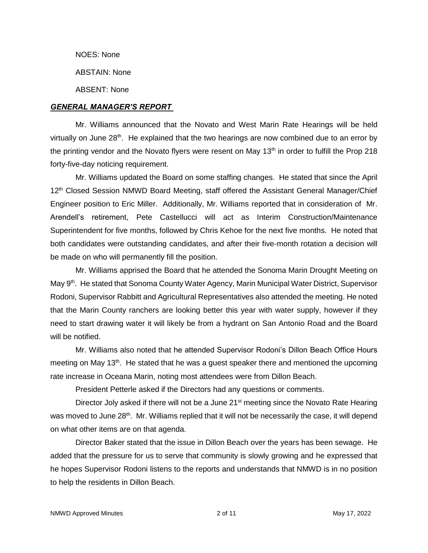NOES: None

ABSTAIN: None

ABSENT: None

### *GENERAL MANAGER'S REPORT*

Mr. Williams announced that the Novato and West Marin Rate Hearings will be held virtually on June  $28<sup>th</sup>$ . He explained that the two hearings are now combined due to an error by the printing vendor and the Novato flyers were resent on May  $13<sup>th</sup>$  in order to fulfill the Prop 218 forty-five-day noticing requirement.

Mr. Williams updated the Board on some staffing changes. He stated that since the April 12<sup>th</sup> Closed Session NMWD Board Meeting, staff offered the Assistant General Manager/Chief Engineer position to Eric Miller. Additionally, Mr. Williams reported that in consideration of Mr. Arendell's retirement, Pete Castellucci will act as Interim Construction/Maintenance Superintendent for five months, followed by Chris Kehoe for the next five months. He noted that both candidates were outstanding candidates, and after their five-month rotation a decision will be made on who will permanently fill the position.

Mr. Williams apprised the Board that he attended the Sonoma Marin Drought Meeting on May 9th. He stated that Sonoma County Water Agency, Marin Municipal Water District, Supervisor Rodoni, Supervisor Rabbitt and Agricultural Representatives also attended the meeting. He noted that the Marin County ranchers are looking better this year with water supply, however if they need to start drawing water it will likely be from a hydrant on San Antonio Road and the Board will be notified.

Mr. Williams also noted that he attended Supervisor Rodoni's Dillon Beach Office Hours meeting on May 13<sup>th</sup>. He stated that he was a guest speaker there and mentioned the upcoming rate increase in Oceana Marin, noting most attendees were from Dillon Beach.

President Petterle asked if the Directors had any questions or comments.

Director Joly asked if there will not be a June 21<sup>st</sup> meeting since the Novato Rate Hearing was moved to June 28<sup>th</sup>. Mr. Williams replied that it will not be necessarily the case, it will depend on what other items are on that agenda.

Director Baker stated that the issue in Dillon Beach over the years has been sewage. He added that the pressure for us to serve that community is slowly growing and he expressed that he hopes Supervisor Rodoni listens to the reports and understands that NMWD is in no position to help the residents in Dillon Beach.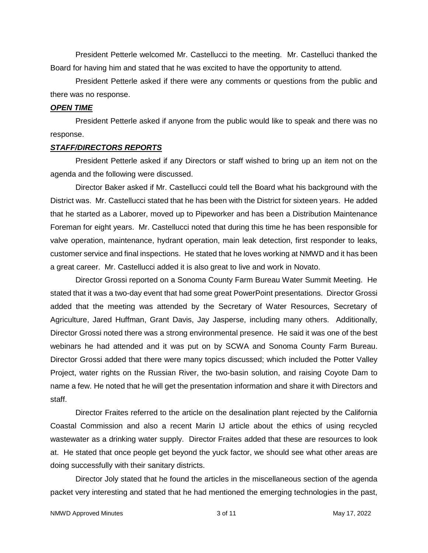President Petterle welcomed Mr. Castellucci to the meeting. Mr. Castelluci thanked the Board for having him and stated that he was excited to have the opportunity to attend.

President Petterle asked if there were any comments or questions from the public and there was no response.

#### *OPEN TIME*

President Petterle asked if anyone from the public would like to speak and there was no response.

### *STAFF/DIRECTORS REPORTS*

President Petterle asked if any Directors or staff wished to bring up an item not on the agenda and the following were discussed.

Director Baker asked if Mr. Castellucci could tell the Board what his background with the District was. Mr. Castellucci stated that he has been with the District for sixteen years. He added that he started as a Laborer, moved up to Pipeworker and has been a Distribution Maintenance Foreman for eight years. Mr. Castellucci noted that during this time he has been responsible for valve operation, maintenance, hydrant operation, main leak detection, first responder to leaks, customer service and final inspections. He stated that he loves working at NMWD and it has been a great career. Mr. Castellucci added it is also great to live and work in Novato.

Director Grossi reported on a Sonoma County Farm Bureau Water Summit Meeting. He stated that it was a two-day event that had some great PowerPoint presentations. Director Grossi added that the meeting was attended by the Secretary of Water Resources, Secretary of Agriculture, Jared Huffman, Grant Davis, Jay Jasperse, including many others. Additionally, Director Grossi noted there was a strong environmental presence. He said it was one of the best webinars he had attended and it was put on by SCWA and Sonoma County Farm Bureau. Director Grossi added that there were many topics discussed; which included the Potter Valley Project, water rights on the Russian River, the two-basin solution, and raising Coyote Dam to name a few. He noted that he will get the presentation information and share it with Directors and staff.

Director Fraites referred to the article on the desalination plant rejected by the California Coastal Commission and also a recent Marin IJ article about the ethics of using recycled wastewater as a drinking water supply. Director Fraites added that these are resources to look at. He stated that once people get beyond the yuck factor, we should see what other areas are doing successfully with their sanitary districts.

Director Joly stated that he found the articles in the miscellaneous section of the agenda packet very interesting and stated that he had mentioned the emerging technologies in the past,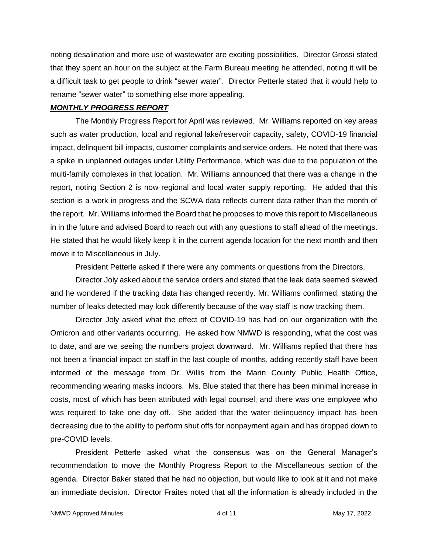noting desalination and more use of wastewater are exciting possibilities. Director Grossi stated that they spent an hour on the subject at the Farm Bureau meeting he attended, noting it will be a difficult task to get people to drink "sewer water". Director Petterle stated that it would help to rename "sewer water" to something else more appealing.

### *MONTHLY PROGRESS REPORT*

The Monthly Progress Report for April was reviewed. Mr. Williams reported on key areas such as water production, local and regional lake/reservoir capacity, safety, COVID-19 financial impact, delinquent bill impacts, customer complaints and service orders. He noted that there was a spike in unplanned outages under Utility Performance, which was due to the population of the multi-family complexes in that location. Mr. Williams announced that there was a change in the report, noting Section 2 is now regional and local water supply reporting. He added that this section is a work in progress and the SCWA data reflects current data rather than the month of the report. Mr. Williams informed the Board that he proposes to move this report to Miscellaneous in in the future and advised Board to reach out with any questions to staff ahead of the meetings. He stated that he would likely keep it in the current agenda location for the next month and then move it to Miscellaneous in July.

President Petterle asked if there were any comments or questions from the Directors.

Director Joly asked about the service orders and stated that the leak data seemed skewed and he wondered if the tracking data has changed recently. Mr. Williams confirmed, stating the number of leaks detected may look differently because of the way staff is now tracking them.

Director Joly asked what the effect of COVID-19 has had on our organization with the Omicron and other variants occurring. He asked how NMWD is responding, what the cost was to date, and are we seeing the numbers project downward. Mr. Williams replied that there has not been a financial impact on staff in the last couple of months, adding recently staff have been informed of the message from Dr. Willis from the Marin County Public Health Office, recommending wearing masks indoors. Ms. Blue stated that there has been minimal increase in costs, most of which has been attributed with legal counsel, and there was one employee who was required to take one day off. She added that the water delinquency impact has been decreasing due to the ability to perform shut offs for nonpayment again and has dropped down to pre-COVID levels.

President Petterle asked what the consensus was on the General Manager's recommendation to move the Monthly Progress Report to the Miscellaneous section of the agenda. Director Baker stated that he had no objection, but would like to look at it and not make an immediate decision. Director Fraites noted that all the information is already included in the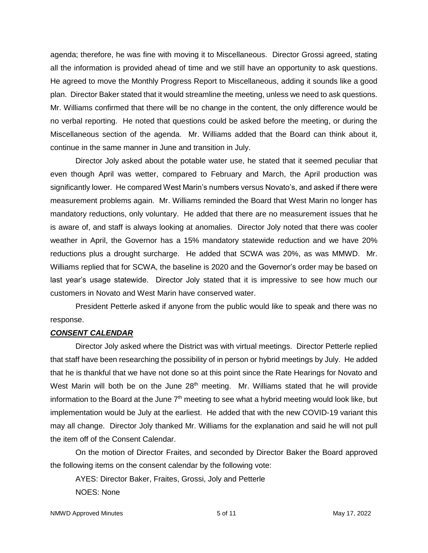agenda; therefore, he was fine with moving it to Miscellaneous. Director Grossi agreed, stating all the information is provided ahead of time and we still have an opportunity to ask questions. He agreed to move the Monthly Progress Report to Miscellaneous, adding it sounds like a good plan. Director Baker stated that it would streamline the meeting, unless we need to ask questions. Mr. Williams confirmed that there will be no change in the content, the only difference would be no verbal reporting. He noted that questions could be asked before the meeting, or during the Miscellaneous section of the agenda. Mr. Williams added that the Board can think about it, continue in the same manner in June and transition in July.

Director Joly asked about the potable water use, he stated that it seemed peculiar that even though April was wetter, compared to February and March, the April production was significantly lower. He compared West Marin's numbers versus Novato's, and asked if there were measurement problems again. Mr. Williams reminded the Board that West Marin no longer has mandatory reductions, only voluntary. He added that there are no measurement issues that he is aware of, and staff is always looking at anomalies. Director Joly noted that there was cooler weather in April, the Governor has a 15% mandatory statewide reduction and we have 20% reductions plus a drought surcharge. He added that SCWA was 20%, as was MMWD. Mr. Williams replied that for SCWA, the baseline is 2020 and the Governor's order may be based on last year's usage statewide. Director Joly stated that it is impressive to see how much our customers in Novato and West Marin have conserved water.

President Petterle asked if anyone from the public would like to speak and there was no response.

#### *CONSENT CALENDAR*

Director Joly asked where the District was with virtual meetings. Director Petterle replied that staff have been researching the possibility of in person or hybrid meetings by July. He added that he is thankful that we have not done so at this point since the Rate Hearings for Novato and West Marin will both be on the June  $28<sup>th</sup>$  meeting. Mr. Williams stated that he will provide information to the Board at the June  $7<sup>th</sup>$  meeting to see what a hybrid meeting would look like, but implementation would be July at the earliest. He added that with the new COVID-19 variant this may all change. Director Joly thanked Mr. Williams for the explanation and said he will not pull the item off of the Consent Calendar.

On the motion of Director Fraites, and seconded by Director Baker the Board approved the following items on the consent calendar by the following vote:

AYES: Director Baker, Fraites, Grossi, Joly and Petterle NOES: None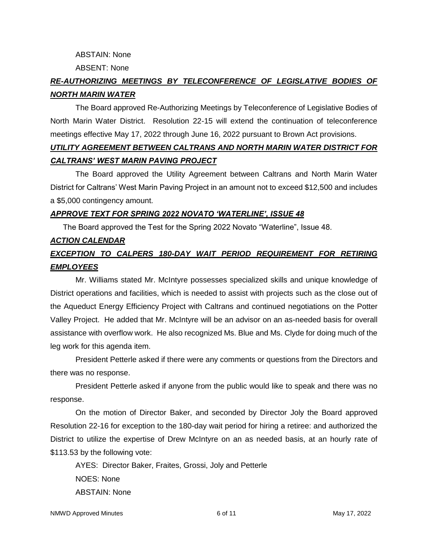ABSTAIN: None

ABSENT: None

# *RE-AUTHORIZING MEETINGS BY TELECONFERENCE OF LEGISLATIVE BODIES OF NORTH MARIN WATER*

The Board approved Re-Authorizing Meetings by Teleconference of Legislative Bodies of North Marin Water District. Resolution 22-15 will extend the continuation of teleconference meetings effective May 17, 2022 through June 16, 2022 pursuant to Brown Act provisions.

# *UTILITY AGREEMENT BETWEEN CALTRANS AND NORTH MARIN WATER DISTRICT FOR CALTRANS' WEST MARIN PAVING PROJECT*

The Board approved the Utility Agreement between Caltrans and North Marin Water District for Caltrans' West Marin Paving Project in an amount not to exceed \$12,500 and includes a \$5,000 contingency amount.

## *APPROVE TEXT FOR SPRING 2022 NOVATO 'WATERLINE', ISSUE 48*

The Board approved the Test for the Spring 2022 Novato "Waterline", Issue 48.

# *ACTION CALENDAR EXCEPTION TO CALPERS 180-DAY WAIT PERIOD REQUIREMENT FOR RETIRING EMPLOYEES*

Mr. Williams stated Mr. McIntyre possesses specialized skills and unique knowledge of District operations and facilities, which is needed to assist with projects such as the close out of the Aqueduct Energy Efficiency Project with Caltrans and continued negotiations on the Potter Valley Project. He added that Mr. McIntyre will be an advisor on an as-needed basis for overall assistance with overflow work. He also recognized Ms. Blue and Ms. Clyde for doing much of the leg work for this agenda item.

President Petterle asked if there were any comments or questions from the Directors and there was no response.

President Petterle asked if anyone from the public would like to speak and there was no response.

On the motion of Director Baker, and seconded by Director Joly the Board approved Resolution 22-16 for exception to the 180-day wait period for hiring a retiree: and authorized the District to utilize the expertise of Drew McIntyre on an as needed basis, at an hourly rate of \$113.53 by the following vote:

AYES: Director Baker, Fraites, Grossi, Joly and Petterle NOES: None ABSTAIN: None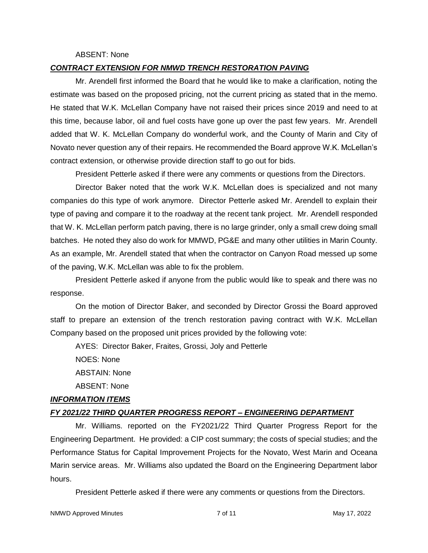#### ABSENT: None

### *CONTRACT EXTENSION FOR NMWD TRENCH RESTORATION PAVING*

Mr. Arendell first informed the Board that he would like to make a clarification, noting the estimate was based on the proposed pricing, not the current pricing as stated that in the memo. He stated that W.K. McLellan Company have not raised their prices since 2019 and need to at this time, because labor, oil and fuel costs have gone up over the past few years. Mr. Arendell added that W. K. McLellan Company do wonderful work, and the County of Marin and City of Novato never question any of their repairs. He recommended the Board approve W.K. McLellan's contract extension, or otherwise provide direction staff to go out for bids.

President Petterle asked if there were any comments or questions from the Directors.

Director Baker noted that the work W.K. McLellan does is specialized and not many companies do this type of work anymore. Director Petterle asked Mr. Arendell to explain their type of paving and compare it to the roadway at the recent tank project. Mr. Arendell responded that W. K. McLellan perform patch paving, there is no large grinder, only a small crew doing small batches. He noted they also do work for MMWD, PG&E and many other utilities in Marin County. As an example, Mr. Arendell stated that when the contractor on Canyon Road messed up some of the paving, W.K. McLellan was able to fix the problem.

President Petterle asked if anyone from the public would like to speak and there was no response.

On the motion of Director Baker, and seconded by Director Grossi the Board approved staff to prepare an extension of the trench restoration paving contract with W.K. McLellan Company based on the proposed unit prices provided by the following vote:

AYES: Director Baker, Fraites, Grossi, Joly and Petterle

NOES: None

ABSTAIN: None

ABSENT: None

### *INFORMATION ITEMS*

### *FY 2021/22 THIRD QUARTER PROGRESS REPORT – ENGINEERING DEPARTMENT*

Mr. Williams. reported on the FY2021/22 Third Quarter Progress Report for the Engineering Department. He provided: a CIP cost summary; the costs of special studies; and the Performance Status for Capital Improvement Projects for the Novato, West Marin and Oceana Marin service areas. Mr. Williams also updated the Board on the Engineering Department labor hours.

President Petterle asked if there were any comments or questions from the Directors.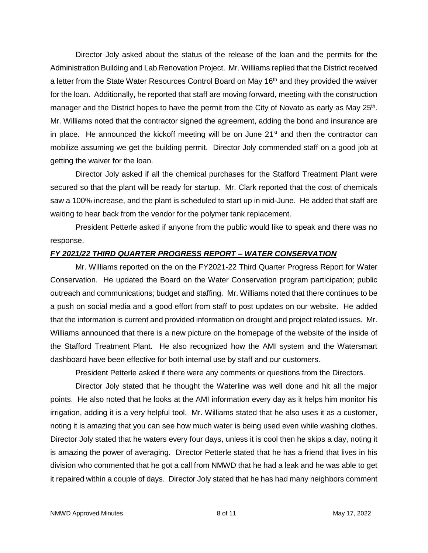Director Joly asked about the status of the release of the loan and the permits for the Administration Building and Lab Renovation Project. Mr. Williams replied that the District received a letter from the State Water Resources Control Board on May  $16<sup>th</sup>$  and they provided the waiver for the loan. Additionally, he reported that staff are moving forward, meeting with the construction manager and the District hopes to have the permit from the City of Novato as early as May 25<sup>th</sup>. Mr. Williams noted that the contractor signed the agreement, adding the bond and insurance are in place. He announced the kickoff meeting will be on June  $21<sup>st</sup>$  and then the contractor can mobilize assuming we get the building permit. Director Joly commended staff on a good job at getting the waiver for the loan.

Director Joly asked if all the chemical purchases for the Stafford Treatment Plant were secured so that the plant will be ready for startup. Mr. Clark reported that the cost of chemicals saw a 100% increase, and the plant is scheduled to start up in mid-June. He added that staff are waiting to hear back from the vendor for the polymer tank replacement.

President Petterle asked if anyone from the public would like to speak and there was no response.

### *FY 2021/22 THIRD QUARTER PROGRESS REPORT – WATER CONSERVATION*

Mr. Williams reported on the on the FY2021-22 Third Quarter Progress Report for Water Conservation. He updated the Board on the Water Conservation program participation; public outreach and communications; budget and staffing. Mr. Williams noted that there continues to be a push on social media and a good effort from staff to post updates on our website. He added that the information is current and provided information on drought and project related issues. Mr. Williams announced that there is a new picture on the homepage of the website of the inside of the Stafford Treatment Plant. He also recognized how the AMI system and the Watersmart dashboard have been effective for both internal use by staff and our customers.

President Petterle asked if there were any comments or questions from the Directors.

Director Joly stated that he thought the Waterline was well done and hit all the major points. He also noted that he looks at the AMI information every day as it helps him monitor his irrigation, adding it is a very helpful tool. Mr. Williams stated that he also uses it as a customer, noting it is amazing that you can see how much water is being used even while washing clothes. Director Joly stated that he waters every four days, unless it is cool then he skips a day, noting it is amazing the power of averaging. Director Petterle stated that he has a friend that lives in his division who commented that he got a call from NMWD that he had a leak and he was able to get it repaired within a couple of days. Director Joly stated that he has had many neighbors comment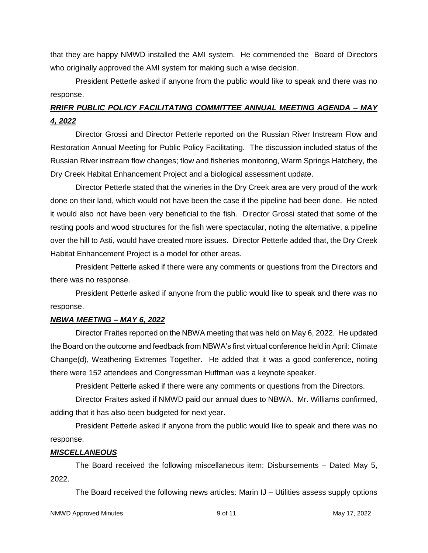that they are happy NMWD installed the AMI system. He commended the Board of Directors who originally approved the AMI system for making such a wise decision.

President Petterle asked if anyone from the public would like to speak and there was no response.

# *RRIFR PUBLIC POLICY FACILITATING COMMITTEE ANNUAL MEETING AGENDA – MAY 4, 2022*

Director Grossi and Director Petterle reported on the Russian River Instream Flow and Restoration Annual Meeting for Public Policy Facilitating. The discussion included status of the Russian River instream flow changes; flow and fisheries monitoring, Warm Springs Hatchery, the Dry Creek Habitat Enhancement Project and a biological assessment update.

Director Petterle stated that the wineries in the Dry Creek area are very proud of the work done on their land, which would not have been the case if the pipeline had been done. He noted it would also not have been very beneficial to the fish. Director Grossi stated that some of the resting pools and wood structures for the fish were spectacular, noting the alternative, a pipeline over the hill to Asti, would have created more issues. Director Petterle added that, the Dry Creek Habitat Enhancement Project is a model for other areas.

President Petterle asked if there were any comments or questions from the Directors and there was no response.

President Petterle asked if anyone from the public would like to speak and there was no response.

### *NBWA MEETING – MAY 6, 2022*

Director Fraites reported on the NBWA meeting that was held on May 6, 2022. He updated the Board on the outcome and feedback from NBWA's first virtual conference held in April: Climate Change(d), Weathering Extremes Together. He added that it was a good conference, noting there were 152 attendees and Congressman Huffman was a keynote speaker.

President Petterle asked if there were any comments or questions from the Directors.

Director Fraites asked if NMWD paid our annual dues to NBWA. Mr. Williams confirmed, adding that it has also been budgeted for next year.

President Petterle asked if anyone from the public would like to speak and there was no response.

## *MISCELLANEOUS*

The Board received the following miscellaneous item: Disbursements – Dated May 5, 2022.

The Board received the following news articles: Marin IJ – Utilities assess supply options

NMWD Approved Minutes and the set of the set of the 9 of 11 May 17, 2022 May 17, 2022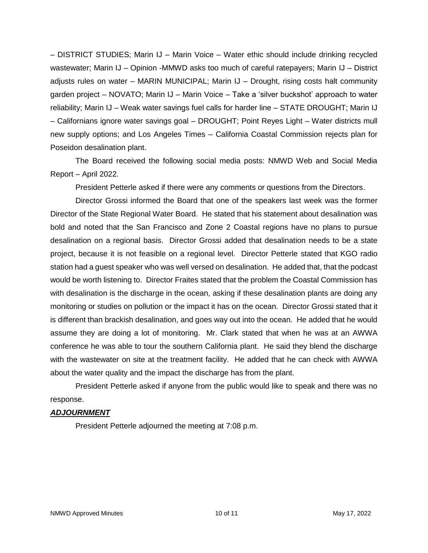– DISTRICT STUDIES; Marin IJ – Marin Voice – Water ethic should include drinking recycled wastewater; Marin IJ – Opinion -MMWD asks too much of careful ratepayers; Marin IJ – District adjusts rules on water – MARIN MUNICIPAL; Marin IJ – Drought, rising costs halt community garden project – NOVATO; Marin IJ – Marin Voice – Take a 'silver buckshot' approach to water reliability; Marin IJ – Weak water savings fuel calls for harder line – STATE DROUGHT; Marin IJ – Californians ignore water savings goal – DROUGHT; Point Reyes Light – Water districts mull new supply options; and Los Angeles Times – California Coastal Commission rejects plan for Poseidon desalination plant.

The Board received the following social media posts: NMWD Web and Social Media Report – April 2022.

President Petterle asked if there were any comments or questions from the Directors.

Director Grossi informed the Board that one of the speakers last week was the former Director of the State Regional Water Board. He stated that his statement about desalination was bold and noted that the San Francisco and Zone 2 Coastal regions have no plans to pursue desalination on a regional basis. Director Grossi added that desalination needs to be a state project, because it is not feasible on a regional level. Director Petterle stated that KGO radio station had a guest speaker who was well versed on desalination. He added that, that the podcast would be worth listening to. Director Fraites stated that the problem the Coastal Commission has with desalination is the discharge in the ocean, asking if these desalination plants are doing any monitoring or studies on pollution or the impact it has on the ocean. Director Grossi stated that it is different than brackish desalination, and goes way out into the ocean. He added that he would assume they are doing a lot of monitoring. Mr. Clark stated that when he was at an AWWA conference he was able to tour the southern California plant. He said they blend the discharge with the wastewater on site at the treatment facility. He added that he can check with AWWA about the water quality and the impact the discharge has from the plant.

President Petterle asked if anyone from the public would like to speak and there was no response.

### *ADJOURNMENT*

President Petterle adjourned the meeting at 7:08 p.m.